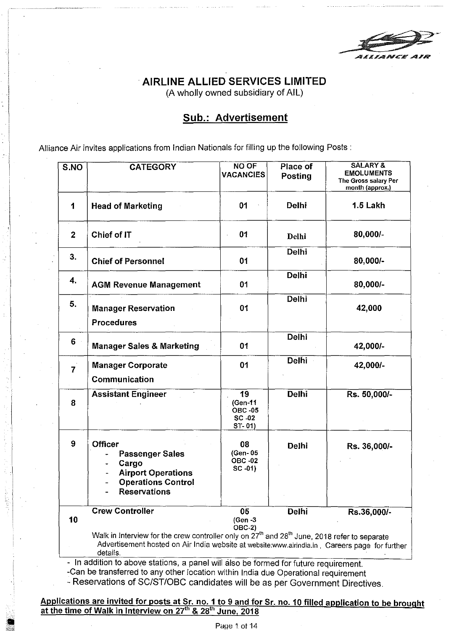# ·AIRLINE ALLIED SERVICES LIMITED

(A wholly owned subsidiary of AIL)

# Sub.: Advertisement

Alliance Air invites applications from Indian Nationals for filling up the following Posts :

| S.NO             | <b>CATEGORY</b>                                                                                                                                                                                                                   | <b>NO OF</b><br><b>VACANCIES</b>                    | Place of<br><b>Posting</b> | <b>SALARY &amp;</b><br><b>EMOLUMENTS</b><br>The Gross salary Per<br>month (approx.) |
|------------------|-----------------------------------------------------------------------------------------------------------------------------------------------------------------------------------------------------------------------------------|-----------------------------------------------------|----------------------------|-------------------------------------------------------------------------------------|
| 1                | <b>Head of Marketing</b>                                                                                                                                                                                                          | 01                                                  | <b>Delhi</b>               | 1.5 Lakh                                                                            |
| $\boldsymbol{2}$ | Chief of IT                                                                                                                                                                                                                       | 01                                                  | Delhi                      | 80,000/-                                                                            |
| 3.               | <b>Chief of Personnel</b>                                                                                                                                                                                                         | 01                                                  | <b>Delhi</b>               | 80,000/-                                                                            |
| 4.               | <b>AGM Revenue Management</b>                                                                                                                                                                                                     | 01                                                  | <b>Delhi</b>               | 80,000/-                                                                            |
| 5.               | <b>Manager Reservation</b><br><b>Procedures</b>                                                                                                                                                                                   | 01                                                  | <b>Delhi</b>               | 42,000                                                                              |
| 6                | <b>Manager Sales &amp; Marketing</b>                                                                                                                                                                                              | 01                                                  | <b>Delhi</b>               | 42,000/-                                                                            |
| $\overline{7}$   | <b>Manager Corporate</b><br>Communication                                                                                                                                                                                         | 01                                                  | <b>Delhi</b>               | 42,000/-                                                                            |
| 8                | <b>Assistant Engineer</b>                                                                                                                                                                                                         | 19<br>(Gen-11<br><b>OBC -05</b><br>SC -02<br>ST-01) | <b>Delhi</b>               | Rs. 50,000/-                                                                        |
| 9                | <b>Officer</b><br>Passenger Sales<br>Cargo<br><b>Airport Operations</b><br><b>Operations Control</b><br><b>Reservations</b>                                                                                                       | 08<br>(Gen-05<br><b>OBC -02</b><br>$SC -01$         | <b>Delhi</b>               | Rs. 36,000/-                                                                        |
| 10               | <b>Crew Controller</b>                                                                                                                                                                                                            | 05<br>(Gen -3<br><b>OBC-2)</b>                      | Delhi                      | Rs.36,000/-                                                                         |
|                  | Walk in Interview for the crew controller only on 27 <sup>th</sup> and 28 <sup>th</sup> June, 2018 refer to separate<br>Advertisement hosted on Air India website at website:www.airindia.in, Careers page for further<br>datoile |                                                     |                            |                                                                                     |

- In addition to above stations, a panel will also be formed for future requirement. -Can be transferred to any other location within India due Operational requirement

- Reservations of SC/ST/OBC candidates will be as per Government Directives.

Applications are invited for posts at Sr. no. 1 to 9 and for Sr. no. 10 filled application to be brought at the time of Walk in Interview on 27<sup>th</sup> & 28<sup>th</sup> June, 2018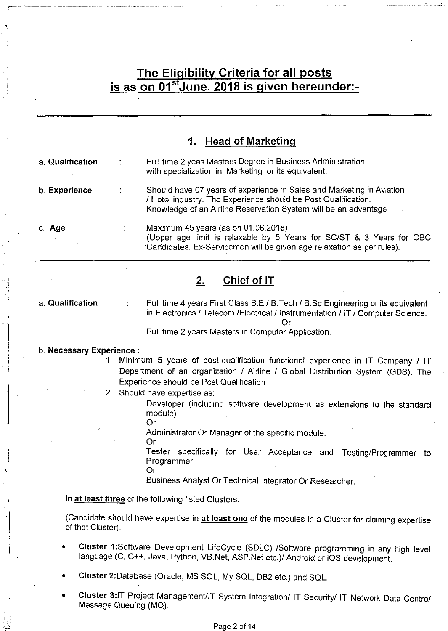# **The Elipibility Criteria for all posts is as on 01 <sup>5</sup> June, 2018 is given hereunder:-**

|                  | <b>Head of Marketing</b><br>1.                                                                                                                                                                             |
|------------------|------------------------------------------------------------------------------------------------------------------------------------------------------------------------------------------------------------|
| a. Qualification | Full time 2 yeas Masters Degree in Business Administration<br>with specialization in Marketing or its equivalent.                                                                                          |
| b. Experience    | Should have 07 years of experience in Sales and Marketing in Aviation<br>/ Hotel industry. The Experience should be Post Qualification.<br>Knowledge of an Airline Reservation System will be an advantage |
| c. Age           | Maximum 45 years (as on 01.06.2018)<br>(Upper age limit is relaxable by 5 Years for SC/ST & 3 Years for OBC<br>Candidates. Ex-Servicemen will be given age relaxation as per rules).                       |

# **2. Chief of IT**

a. **Qualification** 

Full time 4 years First Class B.E / B.Tech / B.Sc Engineering or its equivalent in Electronics / Telecom /Electrical / Instrumentation / IT / Computer Science. Or

Full time 2 years Masters in Computer Application.

#### b. **Necessary Experience** :

- 1. Minimum 5 years of post-qualification functional experience in IT Company I IT Department of an organization / Airline / Global Distribution System (GDS). The Experience should be Post Qualification
- 2. Should have expertise as:

Developer (including software development as extensions to the standard module). Or

Administrator Or Manager of the specific module.

Or

Tester specifically for User Acceptance and Testing/Programmer to Programmer.

Or

Business Analyst Or Technical Integrator Or Researcher.

In **at least three** of the following listed Clusters.

(Candidate should have expertise in **at least one** of the modules in a Cluster for claiming expertise of that Cluster).

- **Cluster 1** :Software Development LifeCycle (SDLC) /Software programming in any high level language (C, C++, Java, Python, VB.Net, ASP.Net etc.)/ Android or iOS development.
- **Cluster** 2:Database (Oracle, MS SQL, My SQL, DB2 etc.) and SQL.
- **Cluster** 3:1T Project Management/IT System Integration/ IT Security/ IT Network Data Centre/ Message Queuing (MQ).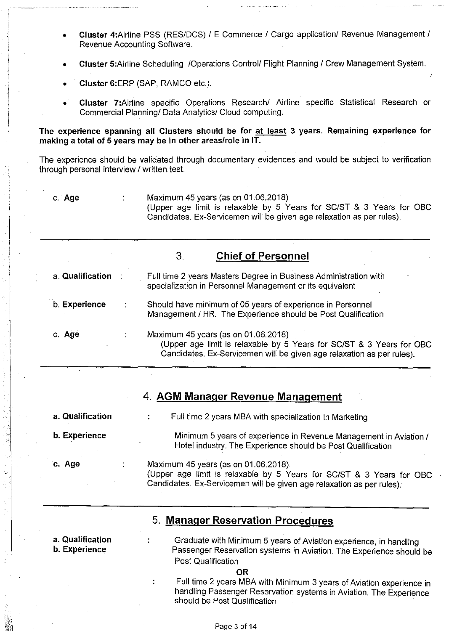- Cluster 4: Airline PSS (RES/DCS) / E Commerce / Cargo application/ Revenue Management / Revenue Accounting Software.
- Cluster 5: Airline Scheduling / Operations Control/ Flight Planning / Crew Management System.
- Cluster 6:ERP (SAP, RAMCO etc.).
- Cluster 7:Airline specific Operations Research/ Airline specific Statistical Research or Commercial Planning/ Data Analytics/ Cloud computing.

The experience spanning all Clusters should be for at least 3 years. Remaining experience for making a total of 5 years may be in other areas/role in IT.

The experience should be validated through documentary evidences and would be subject to verification through personal interview / written test.

c. Age

Maximum 45 years (as on 01.06.2018) (Upper age limit is relaxable by 5 Years for SC/ST & 3 Years for OBC Candidates. Ex-Servicemen will be given age relaxation as per rules).

|                  | 3.<br><b>Chief of Personnel</b>                                                                                                                                                      |
|------------------|--------------------------------------------------------------------------------------------------------------------------------------------------------------------------------------|
| a. Qualification | Full time 2 years Masters Degree in Business Administration with<br>specialization in Personnel Management or its equivalent                                                         |
| b. Experience    | Should have minimum of 05 years of experience in Personnel<br>Management / HR. The Experience should be Post Qualification                                                           |
| c. Age           | Maximum 45 years (as on 01.06.2018)<br>(Upper age limit is relaxable by 5 Years for SC/ST & 3 Years for OBC<br>Candidates. Ex-Servicemen will be given age relaxation as per rules). |

## 4. **AGM** Manager Revenue Management

a. Qualification  $\overline{\mathbf{r}}$ Full time 2 years MBA with specialization in Marketing

b. Experience

c. Age

Hotel industry. The Experience should be Post Qualification Maximum 45 years (as on 01.06.2018)

Minimum 5 years of experience in Revenue Management in Aviation /

(Upper age limit is relaxable by 5 Years for SC/ST & 3 Years for OBC Candidates. Ex-Servicemen will be given age relaxation as per rules).

## 5. Manager Reservation Procedures

a. Qualification b. Experience Graduate with Minimum 5 years of Aviation experience, in handling Passenger Reservation systems in Aviation. The Experience should be Post Qualification OR

> Full time 2 years MBA with Minimum 3 years of Aviation experience in handling Passenger Reservation systems in Aviation. The Experience should be Post Qualification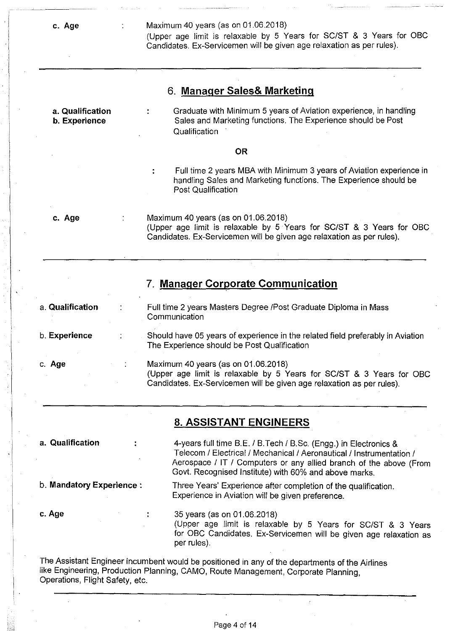**c. Age** 

#### Maximum 40 years (as on 01.06.2018)

(Upper age limit is relaxable by 5 Years for SC/ST & 3 Years for OBC Candidates. Ex-Servicemen will be given age relaxation as per rules).

| 6. Manager Sales& Marketing |  |  |
|-----------------------------|--|--|
|                             |  |  |

**a. Qualification b. Experience** 

 $\overline{\mathbf{r}}$ 

 $\ddot{\cdot}$ 

Graduate with Minimum 5 years of Aviation experience, in handling Sales and Marketing functions. The Experience should be Post **Qualification** 

#### **OR**

Full time 2 years MBA with Minimum 3 years of Aviation experience in handling Sales and Marketing functions. The Experience should be Post Qualification

**c. Age** 

Maximum 40 years (as on 01.06.2018) (Upper age limit is relaxable by 5 Years for SC/ST & 3 Years for OBC Candidates. Ex-Servicemen will be given age relaxation as per rules).

## **7. Manager Corporate Communication**

a. **Qualification**  b. **Experience**  c. **Age**  Full time 2 years Masters Degree /Post Graduate Diploma in Mass Communication Should have 05 years of experience in the related field preferably in Aviation The Experience should be Post Qualification Maximum 40 years (as on 01.06.2018) (Upper age limit is relaxable by 5 Years for SC/ST & 3 Years for OBC

## **8. ASSISTANT ENGINEERS**

**a. Qualification** 

4-years full time B.E. I B.Tech I B.Sc. (Engg.) in Electronics & Telecom / Electrical / Mechanical / Aeronautical / Instrumentation / Aerospace / IT / Computers or any allied branch of the above (From Govt. Recognised Institute) with 60% and above marks.

b. **Mandatory Experience** :

Three Years' Experience after completion of the qualification. Experience in Aviation will be given preference.

Candidates. Ex-Servicemen will be given age relaxation as per rules).

**c. Age** 

35 years (as on 01.06.2018) (Upper age limit is relaxable by 5 Years for SC/ST & 3 Years for OBC Candidates. Ex-Servicemen will be given age relaxation as per rules).

The Assistant Engineer incumbent would be positioned in any of the departments of the Airlines like Engineering, Production Planning, CAMO, Route Management, Corporate Planning, Operations, Flight Safety, etc.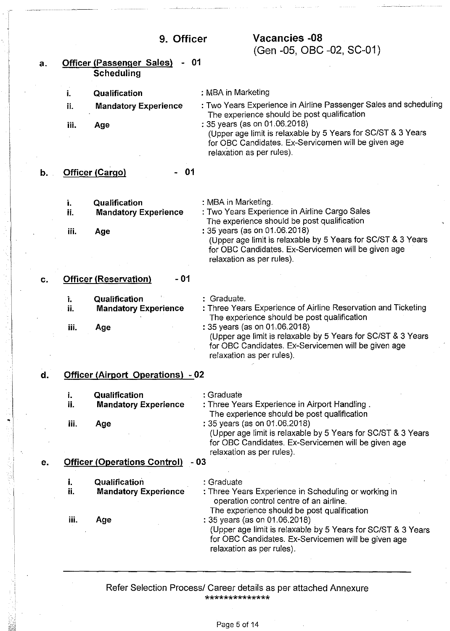•

 $\mathbf{I}$ 

| a. |           | - 01<br><b>Officer (Passenger Sales)</b>     |                                                                                                                                                                                                                                  |
|----|-----------|----------------------------------------------|----------------------------------------------------------------------------------------------------------------------------------------------------------------------------------------------------------------------------------|
|    |           | <b>Scheduling</b>                            |                                                                                                                                                                                                                                  |
|    | j.        | Qualification                                | : MBA in Marketing                                                                                                                                                                                                               |
|    | ii.       | <b>Mandatory Experience</b>                  | : Two Years Experience in Airline Passenger Sales and scheduling<br>The experience should be post qualification                                                                                                                  |
|    | iii.      | Age                                          | : 35 years (as on 01.06.2018)<br>(Upper age limit is relaxable by 5 Years for SC/ST & 3 Years<br>for OBC Candidates. Ex-Servicemen will be given age<br>relaxation as per rules).                                                |
| b. |           | 01<br>Officer (Cargo)                        |                                                                                                                                                                                                                                  |
|    | i.<br>ii. | Qualification<br><b>Mandatory Experience</b> | : MBA in Marketing.<br>: Two Years Experience in Airline Cargo Sales                                                                                                                                                             |
|    | iii.      | Age                                          | The experience should be post qualification<br>: 35 years (as on 01.06.2018)<br>(Upper age limit is relaxable by 5 Years for SC/ST & 3 Years<br>for OBC Candidates. Ex-Servicemen will be given age<br>relaxation as per rules). |
| С. |           | - 01<br><b>Officer (Reservation)</b>         |                                                                                                                                                                                                                                  |
|    | Ť.<br>ii. | Qualification<br><b>Mandatory Experience</b> | : Graduate.<br>: Three Years Experience of Airline Reservation and Ticketing<br>The experience should be post qualification                                                                                                      |
|    | iii.      | Age                                          | : 35 years (as on 01.06.2018)<br>(Upper age limit is relaxable by 5 Years for SC/ST & 3 Years<br>for OBC Candidates. Ex-Servicemen will be given age<br>relaxation as per rules).                                                |
| d. |           | <b>Officer (Airport Operations) - 02</b>     |                                                                                                                                                                                                                                  |
|    | ī.<br>ii. | Qualification<br><b>Mandatory Experience</b> | : Graduate<br>: Three Years Experience in Airport Handling.<br>The experience should be post qualification                                                                                                                       |
|    | iii.      | Age                                          | : 35 years (as on 01.06.2018)<br>(Upper age limit is relaxable by 5 Years for SC/ST & 3 Years<br>for OBC Candidates. Ex-Servicemen will be given age                                                                             |
| е. |           | <b>Officer (Operations Control)</b>          | relaxation as per rules).<br>- 03                                                                                                                                                                                                |
|    | i.<br>ij. | Qualification<br><b>Mandatory Experience</b> | : Graduate<br>: Three Years Experience in Scheduling or working in<br>operation control centre of an airline.<br>The experience should be post qualification                                                                     |
|    | iii.      | Age                                          | : 35 years (as on 01.06.2018)<br>(Upper age limit is relaxable by 5 Years for SC/ST & 3 Years<br>for OBC Candidates. Ex-Servicemen will be given age<br>relaxation as per rules).                                                |

Refer Selection Process/ Career details as per attached Annexure \*\*\*\*\*\*\*\*\*\*\*\*\*\*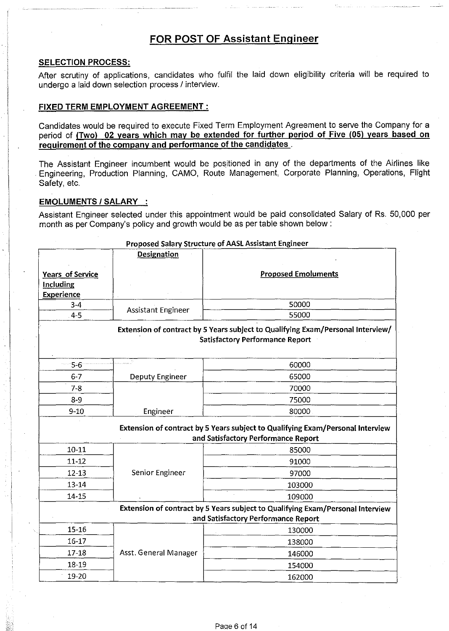# FOR POST OF Assistant Engineer

#### SELECTION PROCESS:

After scrutiny of applications, candidates who fulfil the laid down eligibility criteria will be required to undergo a laid down selection process / interview.

#### FIXED TERM EMPLOYMENT AGREEMENT :

Candidates would be required to execute Fixed Term Employment Agreement to serve the Company for a period of (Two) 02 years which may be extended for further period of Five (05) years based on requirement of the company and performance of the candidates .

The Assistant Engineer incumbent would be positioned in any of the departments of the Airlines like . Engineering, Production Planning, CAMO, Route Management, Corporate Planning, Operations, Flight Safety, etc.

#### EMOLUMENTS / SALARY :

Assistant Engineer selected under this appointment would be paid consolidated Salary of Rs. 50,000 per month as per Company's policy and growth would be as per table shown below :

|                                | <b>Designation</b>        |                                                                                                                           |
|--------------------------------|---------------------------|---------------------------------------------------------------------------------------------------------------------------|
| Years of Service               |                           | <b>Proposed Emoluments</b>                                                                                                |
| <b>Including</b><br>Experience |                           |                                                                                                                           |
| $3-4$                          |                           | 50000                                                                                                                     |
| $4 - 5$                        | <b>Assistant Engineer</b> | 55000                                                                                                                     |
|                                |                           | Extension of contract by 5 Years subject to Qualifying Exam/Personal Interview/<br><b>Satisfactory Performance Report</b> |
| $-5-6$                         |                           | 60000                                                                                                                     |
| $6 - 7$                        | Deputy Engineer           | 65000                                                                                                                     |
| $7 - 8$                        |                           | 70000                                                                                                                     |
| $8 - 9$                        |                           | 75000                                                                                                                     |
| $9 - 10$                       | Engineer                  | 80000                                                                                                                     |
|                                |                           | Extension of contract by 5 Years subject to Qualifying Exam/Personal Interview<br>and Satisfactory Performance Report     |
| $10 - 11$                      |                           | 85000                                                                                                                     |
| $11 - 12$                      |                           | 91000                                                                                                                     |
| $12 - 13$                      | Senior Engineer           | 97000                                                                                                                     |
| $13 - 14$                      |                           | 103000                                                                                                                    |
| 14-15                          |                           | 109000                                                                                                                    |
|                                |                           | Extension of contract by 5 Years subject to Qualifying Exam/Personal Interview<br>and Satisfactory Performance Report     |
| $15 - 16$                      |                           | 130000                                                                                                                    |
| $16 - 17$                      |                           | 138000                                                                                                                    |
| $17 - 18$                      | Asst. General Manager     | 146000                                                                                                                    |
| 18-19                          |                           | 154000                                                                                                                    |
| 19-20                          |                           | 162000                                                                                                                    |

#### Proposed Salary Structure of AASL Assistant Engineer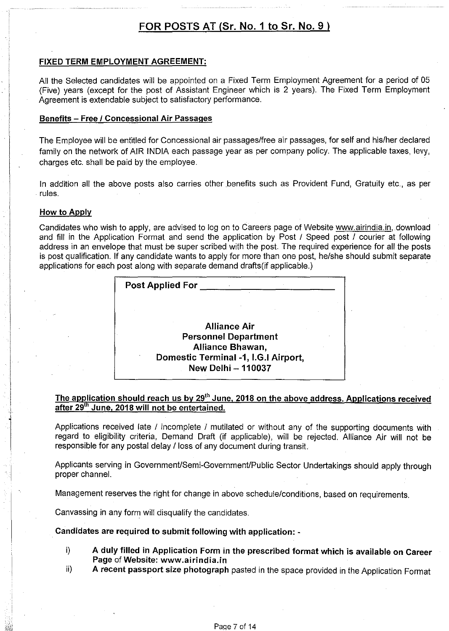# FOR POSTS AT (Sr. No. 1 to Sr. No. 9)

#### FIXED TERM EMPLOYMENT AGREEMENT:

All the Selected candidates will be appointed on a Fixed Term Employment Agreement for a period of 05 (Five) years (except for the post of Assistant Engineer which is 2 years). The Fixed Term Employment Agreement is extendable subject to satisfactory performance.

#### Benefits - Free / Concessional Air Passages

The Employee will be entitled for Concessional air passages/free air passages, for self and his/her declared family on the network of AIR INDIA each passage year as per company policy. The applicable taxes, levy, charges etc. shall be paid by the employee.

In addition all the above posts also carries other benefits such as Provident Fund, Gratuity etc., as per . rules.

#### How to Apply

I

Candidates who wish to apply, are advised to log on to Careers page of Website www.airindia.in, download and fill in the Application Format and send the application by Post / Speed post / courier at following address in an envelope that must be super scribed with the post. The required experience for all the posts is post qualification. If any candidate wants to apply for more than one post, he/she should submit separate applications for each post along with separate demand drafts(if applicable.)

| <b>Post Applied For</b>              |
|--------------------------------------|
|                                      |
| <b>Alliance Air</b>                  |
| <b>Personnel Department</b>          |
| Alliance Bhawan,                     |
| Domestic Terminal -1, I.G.I Airport, |
| <b>New Delhi-110037</b>              |

### The application should reach us by 29<sup>th</sup> June, 2018 on the above address. Applications received after 29<sup>th</sup> June, 2018 will not be entertained.

Applications received late / incomplete / mutilated or without any of the supporting documents with regard to eligibility criteria, Demand Draft (if applicable), will be rejected. Alliance Air will not be responsible for any postal delay / loss of any document during transit.

Applicants serving in Government/Semi-Government/Public Sector Undertakings should apply through proper channel.

Management reserves the right for change in above schedule/conditions, based on requirements.

Canvassing in any form will disqualify the candidates.

Candidates are required to submit following with application: -

- i) A duly filled in Application Form in the prescribed format which is available on Career Page of Website: www.airindia.in
- ii) A recent passport size photograph pasted in the space provided in the Application Format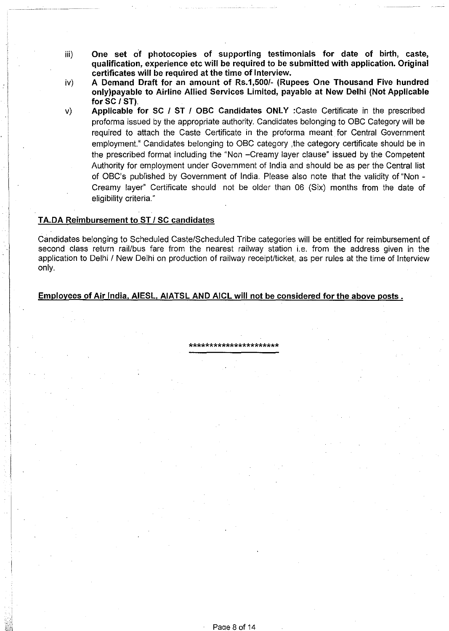- iii) **One set of photocopies of supporting testimonials for date of birth, caste, qualification, experience etc will be required to be submitted with application. Original certificates will be required at the time of Interview.**
- iv) **A Demand Draft for an amount of Rs.1,500/- (Rupees One Thousand Five hundred only)payable to Airline Allied Services Limited, payable at New Delhi (Not Applicable for SC I ST).**
- v) **Applicable for SC I ST I OBC Candidates ONLY** :Caste Certificate in the prescribed proforma issued by the appropriate authority. Candidates belonging to OBC Category will be required to attach the Caste Certificate in the proforma meant for Central Government employment." Candidates belonging to OBC category ,the category certificate should be in the prescribed format including the "Non -Creamy layer clause" issued by the Competent Authority for employment under Government of India and should be as per the Central list of OBC's published by Government of India. Please also note that the validity of "Non - Creamy layer" Certificate should not be older than 06 (Six) months from the date of eligibility criteria."

#### **TA.DA Reimbursement to ST I SC candidates**

Candidates belonging to Scheduled Caste/Scheduled Tribe categories will be entitled for reimbursement of second class return rail/bus fare from the nearest railway station i.e. from the address given in the application to Delhi / New Delhi on production of railway receipt/ticket, as per rules at the time of Interview only.

\*\*\*\*\*\*\*\*\*\*\*\*\*\*\*\*\*\*\*\*\*\*

### **Employees of Air India. AIESL. AIATSL AND AICL will not be considered for the above posts.**

Paae 8 of 14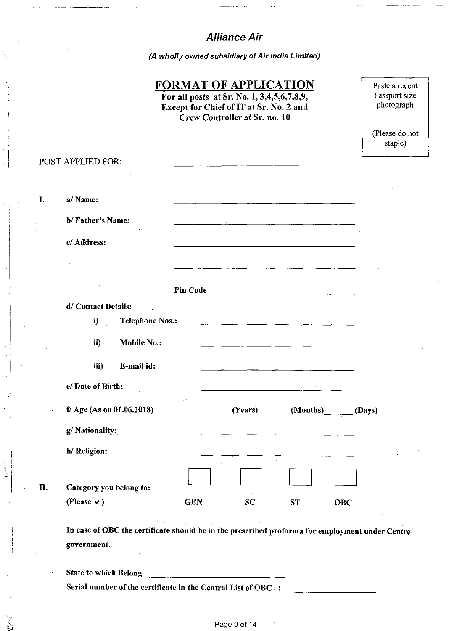# **Alliance Air**

(A wholly owned subsidiary of Air India Limited)

## **FORMAT OF APPLICATION**

For all posts at Sr. No. **1,** 3,4,5,6,7,8,9, Except for Chief of IT at Sr. No. 2 and Crew Controller at Sr. no. 10

Paste a recent Passport size photograph

(Please do not staple)

# POST APPLIED FOR: I. a/Name: b/ Father's Name: c/ Address: Pin Code \_\_\_\_\_\_\_\_\_\_\_\_\_\_ \_ d/ Contact Details: i) Telephone Nos.: ii) Mobile No.: iii) E-mail id: e/ Date of Birth:  $\sim$ fl Age (As on 01.06.2018)  $(Tears)$  (Months) (Days) g/ Nationality: h/ Religion: D D D D II. Category you belong to: (Please  $\vee$ ) GEN SC ST OBC

In case of OBC the certificate should be in the prescribed proforma for employment under Centre government.

State to which Belong $\_\_\_\_\_\_$ Serial number of the certificate in the Central List of OBC.:

는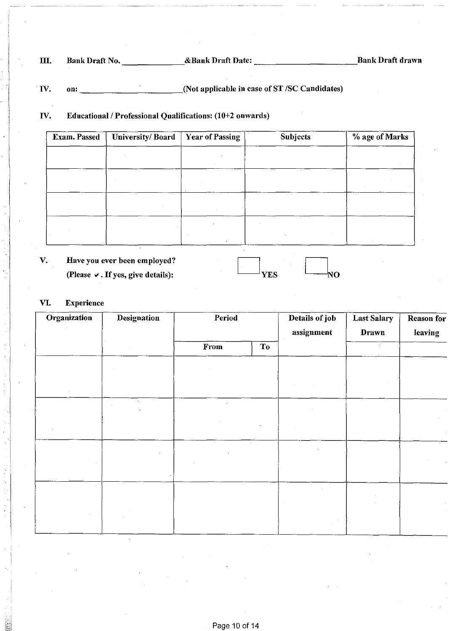III. Bank Draft No. \_\_\_\_\_\_\_ &Bank Draft Date: \_\_\_\_\_\_\_\_\_\_\_ .Bank Draft drawn

. IV. on: \_\_\_\_\_\_\_\_\_\_\_ (Not applicable in case of ST /SC Candidates)

## IV. Educational / Professional Qualifications: (10+2 onwards)

| <b>Year of Passing</b> | <b>Subjects</b>  | % age of Marks |  |
|------------------------|------------------|----------------|--|
|                        |                  |                |  |
|                        |                  |                |  |
|                        |                  |                |  |
|                        |                  |                |  |
|                        |                  |                |  |
|                        |                  |                |  |
|                        |                  |                |  |
|                        | University/Board |                |  |

YES

ŊΟ

v. Have you ever been employed? (Please  $\vee$ . If yes, give details):

# VI. Experience

| Organization | Designation | Period<br>From<br>To |  | Details of job<br>assignment | Last Salary<br>Drawn | Reason for<br>leaving |
|--------------|-------------|----------------------|--|------------------------------|----------------------|-----------------------|
|              |             |                      |  |                              |                      |                       |
|              |             |                      |  |                              |                      |                       |
|              |             |                      |  |                              |                      |                       |
|              |             |                      |  |                              |                      |                       |
|              |             |                      |  |                              |                      |                       |
|              |             | $\lambda$            |  |                              |                      |                       |
|              |             |                      |  |                              |                      |                       |
|              |             |                      |  |                              |                      |                       |
|              |             |                      |  |                              |                      |                       |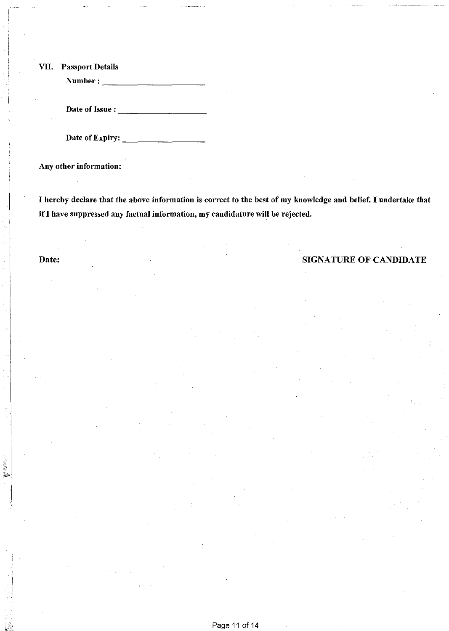VII. Passport Details

Number:-----------

Date of Issue : ----------

Date of Expiry: \_\_\_\_\_\_\_\_ \_

Any other information:

I hereby declare that the above information is correct to the best of my knowledge and belief. I undertake that if I have suppressed any factual information, my candidature wiH be rejected.

## Date: SIGNATURE OF CANDIDATE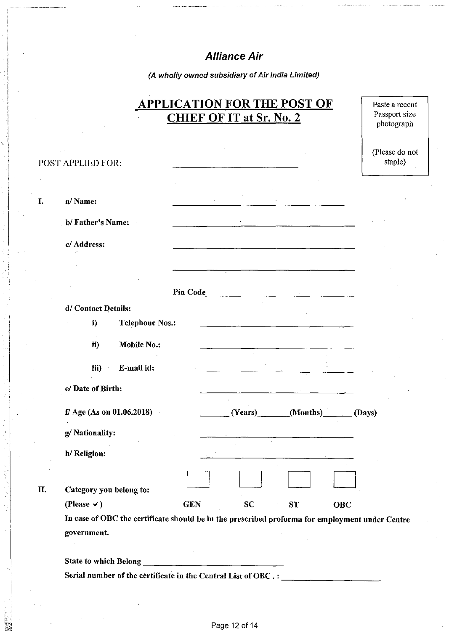# Alliance Air

(A wholly owned subsidiary of Air India Limited)

|    |                                                                                                                |            | <b>CHIEF OF IT at Sr. No. 2</b> | <b>APPLICATION FOR THE POST OF</b>                                                                                     | Paste a recent<br>Passport size |
|----|----------------------------------------------------------------------------------------------------------------|------------|---------------------------------|------------------------------------------------------------------------------------------------------------------------|---------------------------------|
|    |                                                                                                                |            |                                 |                                                                                                                        | photograph                      |
|    | POST APPLIED FOR:                                                                                              |            |                                 |                                                                                                                        | (Please do not<br>staple)       |
|    |                                                                                                                |            |                                 |                                                                                                                        |                                 |
| I. | a/Name:                                                                                                        |            |                                 |                                                                                                                        |                                 |
|    | b/Father's Name:                                                                                               |            |                                 |                                                                                                                        |                                 |
|    | c/ Address:                                                                                                    |            |                                 | <u> La componenta de la componenta de la componenta de la componenta de la componenta de la componenta de la compo</u> |                                 |
|    |                                                                                                                |            |                                 |                                                                                                                        |                                 |
|    |                                                                                                                |            | Pin Code                        |                                                                                                                        |                                 |
|    | d/ Contact Details:                                                                                            |            |                                 |                                                                                                                        |                                 |
|    | <b>Telephone Nos.:</b><br>i)                                                                                   |            |                                 |                                                                                                                        |                                 |
|    | ii)<br>Mobile No.:                                                                                             |            |                                 |                                                                                                                        |                                 |
|    | iii)<br>E-mail id:                                                                                             |            |                                 |                                                                                                                        |                                 |
|    | e/Date of Birth:                                                                                               |            |                                 |                                                                                                                        |                                 |
|    | f/ Age (As on 01.06.2018)                                                                                      |            | (Years)                         | (Months)                                                                                                               | (Days)                          |
|    | g/Nationality:                                                                                                 |            |                                 |                                                                                                                        |                                 |
|    | h/ Religion:                                                                                                   |            |                                 |                                                                                                                        |                                 |
| П. | Category you belong to:                                                                                        |            |                                 |                                                                                                                        |                                 |
|    | (Please $\vee$ )                                                                                               | <b>GEN</b> | <b>SC</b>                       | <b>ST</b><br><b>OBC</b>                                                                                                |                                 |
|    | In case of OBC the certificate should be in the prescribed proforma for employment under Centre<br>government. |            |                                 |                                                                                                                        |                                 |
|    |                                                                                                                |            |                                 |                                                                                                                        |                                 |

Serial number of the certificate in the Central List of OBC.: -<br><del>-----------------</del>

State to which Belong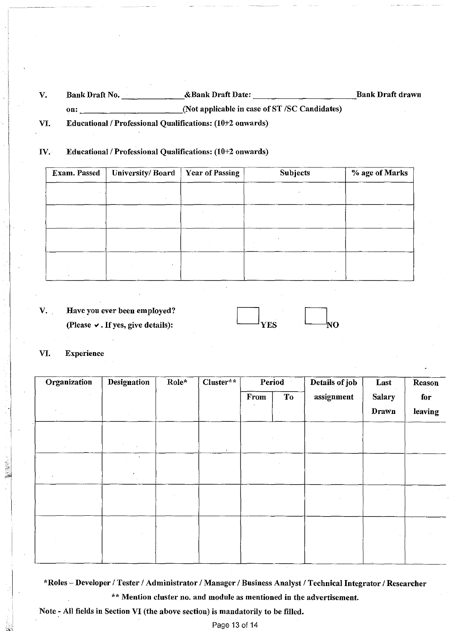V. Bank Draft No. \_\_\_\_\_\_\_\_\_\_\_\_\_&Bank Draft Date: \_\_\_\_\_\_\_\_\_\_\_\_\_\_\_\_\_\_\_\_\_\_\_\_\_\_\_\_\_\_\_Bank Draft drawn on: \_\_\_\_\_\_\_\_\_\_\_\_\_\_\_\_\_\_\_\_\_\_\_\_\_\_\_\_\_\_(Not applicable in case of ST /SC Candidates)

VI. Educational / Professional Qualifications: (10+2 onwards)

#### IV. Educational / Professional Qualifications: (10+2 onwards)

| University/Board | <b>Year of Passing</b> | Subjects | % age of Marks |  |
|------------------|------------------------|----------|----------------|--|
|                  | $\ddotsc$              |          |                |  |
|                  |                        |          |                |  |
|                  |                        |          |                |  |
|                  |                        |          |                |  |
|                  |                        |          |                |  |
|                  |                        |          |                |  |
|                  |                        |          |                |  |
|                  |                        |          |                |  |

v. Have you ever been employed? (Please  $\vee$ . If yes, give details):

| יש |  | . . |
|----|--|-----|

#### VI. Experience

**NEWS** 

| <b>Organization</b> | <b>Designation</b> | Role* | Cluster** | Period |                | Details of job | Last                          | Reason         |
|---------------------|--------------------|-------|-----------|--------|----------------|----------------|-------------------------------|----------------|
|                     |                    |       |           | From   | T <sub>o</sub> | assignment     | <b>Salary</b><br><b>Drawn</b> | for<br>leaving |
|                     |                    |       |           |        |                |                |                               |                |
|                     | $\bullet$          |       | $\sim$    |        |                |                |                               |                |
|                     |                    |       |           |        |                |                |                               |                |
|                     |                    |       |           |        |                |                |                               |                |
|                     |                    |       |           |        |                |                |                               |                |

\*Roles - Developer / Tester / Administrator / Manager / Business Analyst / Technical Integrator / Researcher \*\* Mention cluster no. and module as mentioned in the advertisement.

Note~ All fields in Section VI (the above section) is mandatorily to be filled.